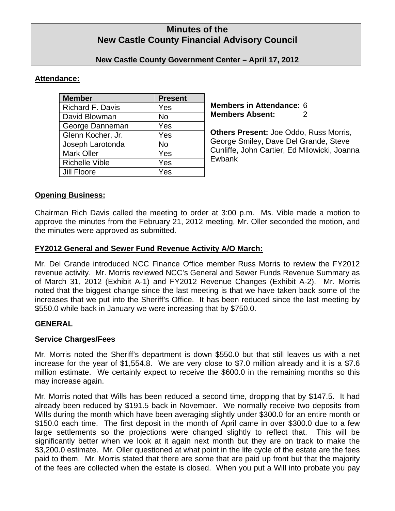# **Minutes of the New Castle County Financial Advisory Council**

## **New Castle County Government Center – April 17, 2012**

# **Attendance:**

| <b>Member</b>         | <b>Present</b> |
|-----------------------|----------------|
| Richard F. Davis      | Yes            |
| David Blowman         | No             |
| George Danneman       | Yes            |
| Glenn Kocher, Jr.     | Yes            |
| Joseph Larotonda      | No             |
| <b>Mark Oller</b>     | Yes            |
| <b>Richelle Vible</b> | Yes            |
| <b>Jill Floore</b>    | Yes            |

**Members in Attendance:** 6 **Members Absent:** 2

**Others Present:** Joe Oddo, Russ Morris, George Smiley, Dave Del Grande, Steve Cunliffe, John Cartier, Ed Milowicki, Joanna Ewbank

# **Opening Business:**

Chairman Rich Davis called the meeting to order at 3:00 p.m. Ms. Vible made a motion to approve the minutes from the February 21, 2012 meeting, Mr. Oller seconded the motion, and the minutes were approved as submitted.

# **FY2012 General and Sewer Fund Revenue Activity A/O March:**

Mr. Del Grande introduced NCC Finance Office member Russ Morris to review the FY2012 revenue activity. Mr. Morris reviewed NCC's General and Sewer Funds Revenue Summary as of March 31, 2012 (Exhibit A-1) and FY2012 Revenue Changes (Exhibit A-2). Mr. Morris noted that the biggest change since the last meeting is that we have taken back some of the increases that we put into the Sheriff's Office. It has been reduced since the last meeting by \$550.0 while back in January we were increasing that by \$750.0.

## **GENERAL**

## **Service Charges/Fees**

Mr. Morris noted the Sheriff's department is down \$550.0 but that still leaves us with a net increase for the year of \$1,554.8. We are very close to \$7.0 million already and it is a \$7.6 million estimate. We certainly expect to receive the \$600.0 in the remaining months so this may increase again.

Mr. Morris noted that Wills has been reduced a second time, dropping that by \$147.5. It had already been reduced by \$191.5 back in November. We normally receive two deposits from Wills during the month which have been averaging slightly under \$300.0 for an entire month or \$150.0 each time. The first deposit in the month of April came in over \$300.0 due to a few large settlements so the projections were changed slightly to reflect that. This will be significantly better when we look at it again next month but they are on track to make the \$3,200.0 estimate. Mr. Oller questioned at what point in the life cycle of the estate are the fees paid to them. Mr. Morris stated that there are some that are paid up front but that the majority of the fees are collected when the estate is closed. When you put a Will into probate you pay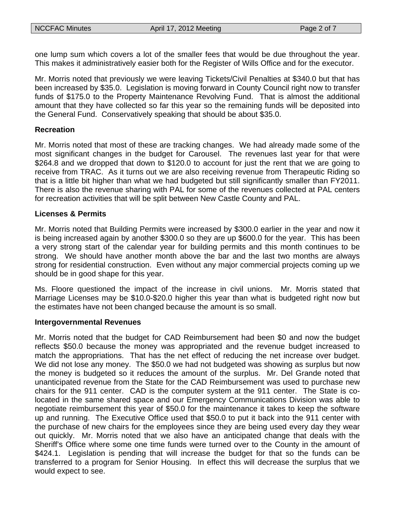one lump sum which covers a lot of the smaller fees that would be due throughout the year. This makes it administratively easier both for the Register of Wills Office and for the executor.

Mr. Morris noted that previously we were leaving Tickets/Civil Penalties at \$340.0 but that has been increased by \$35.0. Legislation is moving forward in County Council right now to transfer funds of \$175.0 to the Property Maintenance Revolving Fund. That is almost the additional amount that they have collected so far this year so the remaining funds will be deposited into the General Fund. Conservatively speaking that should be about \$35.0.

#### **Recreation**

Mr. Morris noted that most of these are tracking changes. We had already made some of the most significant changes in the budget for Carousel. The revenues last year for that were \$264.8 and we dropped that down to \$120.0 to account for just the rent that we are going to receive from TRAC. As it turns out we are also receiving revenue from Therapeutic Riding so that is a little bit higher than what we had budgeted but still significantly smaller than FY2011. There is also the revenue sharing with PAL for some of the revenues collected at PAL centers for recreation activities that will be split between New Castle County and PAL.

#### **Licenses & Permits**

Mr. Morris noted that Building Permits were increased by \$300.0 earlier in the year and now it is being increased again by another \$300.0 so they are up \$600.0 for the year. This has been a very strong start of the calendar year for building permits and this month continues to be strong. We should have another month above the bar and the last two months are always strong for residential construction. Even without any major commercial projects coming up we should be in good shape for this year.

Ms. Floore questioned the impact of the increase in civil unions. Mr. Morris stated that Marriage Licenses may be \$10.0-\$20.0 higher this year than what is budgeted right now but the estimates have not been changed because the amount is so small.

#### **Intergovernmental Revenues**

Mr. Morris noted that the budget for CAD Reimbursement had been \$0 and now the budget reflects \$50.0 because the money was appropriated and the revenue budget increased to match the appropriations. That has the net effect of reducing the net increase over budget. We did not lose any money. The \$50.0 we had not budgeted was showing as surplus but now the money is budgeted so it reduces the amount of the surplus. Mr. Del Grande noted that unanticipated revenue from the State for the CAD Reimbursement was used to purchase new chairs for the 911 center. CAD is the computer system at the 911 center. The State is colocated in the same shared space and our Emergency Communications Division was able to negotiate reimbursement this year of \$50.0 for the maintenance it takes to keep the software up and running. The Executive Office used that \$50.0 to put it back into the 911 center with the purchase of new chairs for the employees since they are being used every day they wear out quickly. Mr. Morris noted that we also have an anticipated change that deals with the Sheriff's Office where some one time funds were turned over to the County in the amount of \$424.1. Legislation is pending that will increase the budget for that so the funds can be transferred to a program for Senior Housing. In effect this will decrease the surplus that we would expect to see.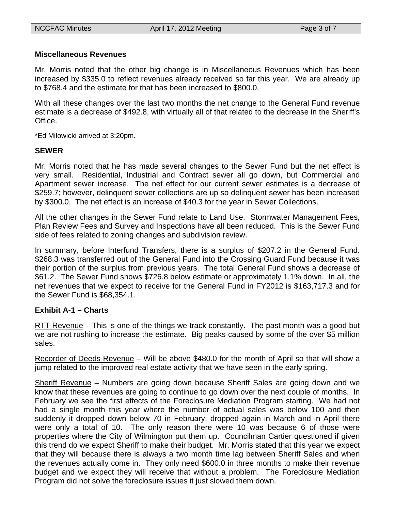#### **Miscellaneous Revenues**

Mr. Morris noted that the other big change is in Miscellaneous Revenues which has been increased by \$335.0 to reflect revenues already received so far this year. We are already up to \$768.4 and the estimate for that has been increased to \$800.0.

With all these changes over the last two months the net change to the General Fund revenue estimate is a decrease of \$492.8, with virtually all of that related to the decrease in the Sheriff's Office.

\*Ed Milowicki arrived at 3:20pm.

#### **SEWER**

Mr. Morris noted that he has made several changes to the Sewer Fund but the net effect is very small. Residential, Industrial and Contract sewer all go down, but Commercial and Apartment sewer increase. The net effect for our current sewer estimates is a decrease of \$259.7; however, delinquent sewer collections are up so delinquent sewer has been increased by \$300.0. The net effect is an increase of \$40.3 for the year in Sewer Collections.

All the other changes in the Sewer Fund relate to Land Use. Stormwater Management Fees, Plan Review Fees and Survey and Inspections have all been reduced. This is the Sewer Fund side of fees related to zoning changes and subdivision review.

In summary, before Interfund Transfers, there is a surplus of \$207.2 in the General Fund. \$268.3 was transferred out of the General Fund into the Crossing Guard Fund because it was their portion of the surplus from previous years. The total General Fund shows a decrease of \$61.2. The Sewer Fund shows \$726.8 below estimate or approximately 1.1% down. In all, the net revenues that we expect to receive for the General Fund in FY2012 is \$163,717.3 and for the Sewer Fund is \$68,354.1.

## **Exhibit A-1 – Charts**

RTT Revenue – This is one of the things we track constantly. The past month was a good but we are not rushing to increase the estimate. Big peaks caused by some of the over \$5 million sales.

Recorder of Deeds Revenue – Will be above \$480.0 for the month of April so that will show a jump related to the improved real estate activity that we have seen in the early spring.

Sheriff Revenue – Numbers are going down because Sheriff Sales are going down and we know that these revenues are going to continue to go down over the next couple of months. In February we see the first effects of the Foreclosure Mediation Program starting. We had not had a single month this year where the number of actual sales was below 100 and then suddenly it dropped down below 70 in February, dropped again in March and in April there were only a total of 10. The only reason there were 10 was because 6 of those were properties where the City of Wilmington put them up. Councilman Cartier questioned if given this trend do we expect Sheriff to make their budget. Mr. Morris stated that this year we expect that they will because there is always a two month time lag between Sheriff Sales and when the revenues actually come in. They only need \$600.0 in three months to make their revenue budget and we expect they will receive that without a problem. The Foreclosure Mediation Program did not solve the foreclosure issues it just slowed them down.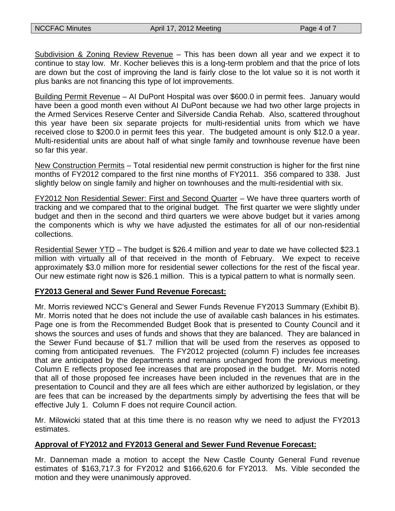Subdivision & Zoning Review Revenue – This has been down all year and we expect it to continue to stay low. Mr. Kocher believes this is a long-term problem and that the price of lots are down but the cost of improving the land is fairly close to the lot value so it is not worth it plus banks are not financing this type of lot improvements.

Building Permit Revenue – AI DuPont Hospital was over \$600.0 in permit fees. January would have been a good month even without AI DuPont because we had two other large projects in the Armed Services Reserve Center and Silverside Candia Rehab. Also, scattered throughout this year have been six separate projects for multi-residential units from which we have received close to \$200.0 in permit fees this year. The budgeted amount is only \$12.0 a year. Multi-residential units are about half of what single family and townhouse revenue have been so far this year.

New Construction Permits – Total residential new permit construction is higher for the first nine months of FY2012 compared to the first nine months of FY2011. 356 compared to 338. Just slightly below on single family and higher on townhouses and the multi-residential with six.

FY2012 Non Residential Sewer: First and Second Quarter – We have three quarters worth of tracking and we compared that to the original budget. The first quarter we were slightly under budget and then in the second and third quarters we were above budget but it varies among the components which is why we have adjusted the estimates for all of our non-residential collections.

Residential Sewer YTD – The budget is \$26.4 million and year to date we have collected \$23.1 million with virtually all of that received in the month of February. We expect to receive approximately \$3.0 million more for residential sewer collections for the rest of the fiscal year. Our new estimate right now is \$26.1 million. This is a typical pattern to what is normally seen.

## **FY2013 General and Sewer Fund Revenue Forecast:**

Mr. Morris reviewed NCC's General and Sewer Funds Revenue FY2013 Summary (Exhibit B). Mr. Morris noted that he does not include the use of available cash balances in his estimates. Page one is from the Recommended Budget Book that is presented to County Council and it shows the sources and uses of funds and shows that they are balanced. They are balanced in the Sewer Fund because of \$1.7 million that will be used from the reserves as opposed to coming from anticipated revenues. The FY2012 projected (column F) includes fee increases that are anticipated by the departments and remains unchanged from the previous meeting. Column E reflects proposed fee increases that are proposed in the budget. Mr. Morris noted that all of those proposed fee increases have been included in the revenues that are in the presentation to Council and they are all fees which are either authorized by legislation, or they are fees that can be increased by the departments simply by advertising the fees that will be effective July 1. Column F does not require Council action.

Mr. Milowicki stated that at this time there is no reason why we need to adjust the FY2013 estimates.

## **Approval of FY2012 and FY2013 General and Sewer Fund Revenue Forecast:**

Mr. Danneman made a motion to accept the New Castle County General Fund revenue estimates of \$163,717.3 for FY2012 and \$166,620.6 for FY2013. Ms. Vible seconded the motion and they were unanimously approved.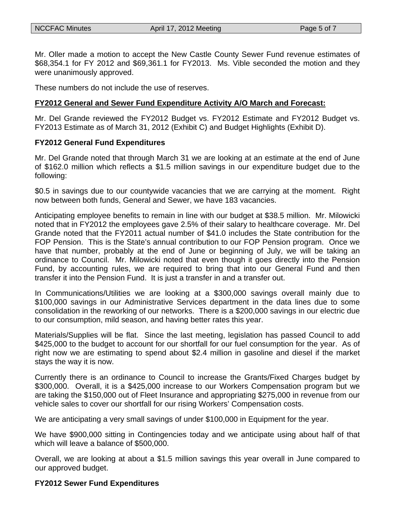Mr. Oller made a motion to accept the New Castle County Sewer Fund revenue estimates of \$68,354.1 for FY 2012 and \$69,361.1 for FY2013. Ms. Vible seconded the motion and they were unanimously approved.

These numbers do not include the use of reserves.

#### **FY2012 General and Sewer Fund Expenditure Activity A/O March and Forecast:**

Mr. Del Grande reviewed the FY2012 Budget vs. FY2012 Estimate and FY2012 Budget vs. FY2013 Estimate as of March 31, 2012 (Exhibit C) and Budget Highlights (Exhibit D).

#### **FY2012 General Fund Expenditures**

Mr. Del Grande noted that through March 31 we are looking at an estimate at the end of June of \$162.0 million which reflects a \$1.5 million savings in our expenditure budget due to the following:

\$0.5 in savings due to our countywide vacancies that we are carrying at the moment. Right now between both funds, General and Sewer, we have 183 vacancies.

Anticipating employee benefits to remain in line with our budget at \$38.5 million. Mr. Milowicki noted that in FY2012 the employees gave 2.5% of their salary to healthcare coverage. Mr. Del Grande noted that the FY2011 actual number of \$41.0 includes the State contribution for the FOP Pension. This is the State's annual contribution to our FOP Pension program. Once we have that number, probably at the end of June or beginning of July, we will be taking an ordinance to Council. Mr. Milowicki noted that even though it goes directly into the Pension Fund, by accounting rules, we are required to bring that into our General Fund and then transfer it into the Pension Fund. It is just a transfer in and a transfer out.

In Communications/Utilities we are looking at a \$300,000 savings overall mainly due to \$100,000 savings in our Administrative Services department in the data lines due to some consolidation in the reworking of our networks. There is a \$200,000 savings in our electric due to our consumption, mild season, and having better rates this year.

Materials/Supplies will be flat. Since the last meeting, legislation has passed Council to add \$425,000 to the budget to account for our shortfall for our fuel consumption for the year. As of right now we are estimating to spend about \$2.4 million in gasoline and diesel if the market stays the way it is now.

Currently there is an ordinance to Council to increase the Grants/Fixed Charges budget by \$300,000. Overall, it is a \$425,000 increase to our Workers Compensation program but we are taking the \$150,000 out of Fleet Insurance and appropriating \$275,000 in revenue from our vehicle sales to cover our shortfall for our rising Workers' Compensation costs.

We are anticipating a very small savings of under \$100,000 in Equipment for the year.

We have \$900,000 sitting in Contingencies today and we anticipate using about half of that which will leave a balance of \$500,000.

Overall, we are looking at about a \$1.5 million savings this year overall in June compared to our approved budget.

#### **FY2012 Sewer Fund Expenditures**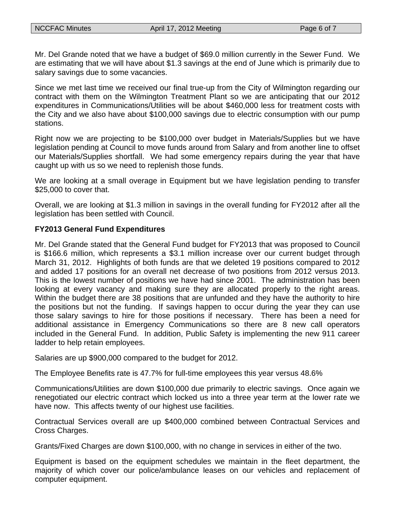Mr. Del Grande noted that we have a budget of \$69.0 million currently in the Sewer Fund. We are estimating that we will have about \$1.3 savings at the end of June which is primarily due to salary savings due to some vacancies.

Since we met last time we received our final true-up from the City of Wilmington regarding our contract with them on the Wilmington Treatment Plant so we are anticipating that our 2012 expenditures in Communications/Utilities will be about \$460,000 less for treatment costs with the City and we also have about \$100,000 savings due to electric consumption with our pump stations.

Right now we are projecting to be \$100,000 over budget in Materials/Supplies but we have legislation pending at Council to move funds around from Salary and from another line to offset our Materials/Supplies shortfall. We had some emergency repairs during the year that have caught up with us so we need to replenish those funds.

We are looking at a small overage in Equipment but we have legislation pending to transfer \$25,000 to cover that.

Overall, we are looking at \$1.3 million in savings in the overall funding for FY2012 after all the legislation has been settled with Council.

## **FY2013 General Fund Expenditures**

Mr. Del Grande stated that the General Fund budget for FY2013 that was proposed to Council is \$166.6 million, which represents a \$3.1 million increase over our current budget through March 31, 2012. Highlights of both funds are that we deleted 19 positions compared to 2012 and added 17 positions for an overall net decrease of two positions from 2012 versus 2013. This is the lowest number of positions we have had since 2001. The administration has been looking at every vacancy and making sure they are allocated properly to the right areas. Within the budget there are 38 positions that are unfunded and they have the authority to hire the positions but not the funding. If savings happen to occur during the year they can use those salary savings to hire for those positions if necessary. There has been a need for additional assistance in Emergency Communications so there are 8 new call operators included in the General Fund. In addition, Public Safety is implementing the new 911 career ladder to help retain employees.

Salaries are up \$900,000 compared to the budget for 2012.

The Employee Benefits rate is 47.7% for full-time employees this year versus 48.6%

Communications/Utilities are down \$100,000 due primarily to electric savings. Once again we renegotiated our electric contract which locked us into a three year term at the lower rate we have now. This affects twenty of our highest use facilities.

Contractual Services overall are up \$400,000 combined between Contractual Services and Cross Charges.

Grants/Fixed Charges are down \$100,000, with no change in services in either of the two.

Equipment is based on the equipment schedules we maintain in the fleet department, the majority of which cover our police/ambulance leases on our vehicles and replacement of computer equipment.